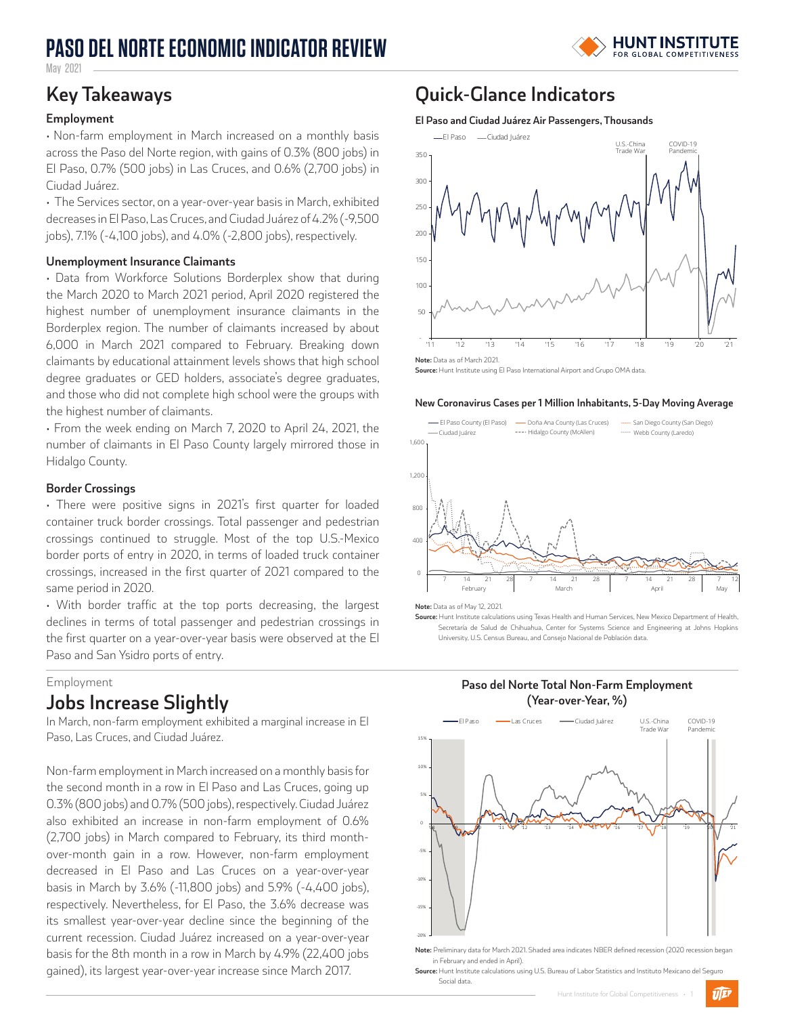# **PASO DEL NORTE ECONOMIC INDICATOR REVIEW**



May 2021

### **Employment**

• Non-farm employment in March increased on a monthly basis across the Paso del Norte region, with gains of 0.3% (800 jobs) in El Paso, 0.7% (500 jobs) in Las Cruces, and 0.6% (2,700 jobs) in Ciudad Juárez.

• The Services sector, on a year-over-year basis in March, exhibited decreases in El Paso, Las Cruces, and Ciudad Juárez of 4.2% (-9,500 jobs), 7.1% (-4,100 jobs), and 4.0% (-2,800 jobs), respectively.

### **Unemployment Insurance Claimants**

• Data from Workforce Solutions Borderplex show that during the March 2020 to March 2021 period, April 2020 registered the highest number of unemployment insurance claimants in the Borderplex region. The number of claimants increased by about 6,000 in March 2021 compared to February. Breaking down claimants by educational attainment levels shows that high school degree graduates or GED holders, associate's degree graduates, and those who did not complete high school were the groups with the highest number of claimants.

• From the week ending on March 7, 2020 to April 24, 2021, the number of claimants in El Paso County largely mirrored those in Hidalgo County.

### **Border Crossings**

• There were positive signs in 2021's first quarter for loaded container truck border crossings. Total passenger and pedestrian crossings continued to struggle. Most of the top U.S.-Mexico border ports of entry in 2020, in terms of loaded truck container crossings, increased in the first quarter of 2021 compared to the same period in 2020.

• With border traffic at the top ports decreasing, the largest declines in terms of total passenger and pedestrian crossings in the first quarter on a year-over-year basis were observed at the El Paso and San Ysidro ports of entry.

#### Employment

### **Jobs Increase Slightly**

In March, non-farm employment exhibited a marginal increase in El Paso, Las Cruces, and Ciudad Juárez.

Non-farm employment in March increased on a monthly basis for the second month in a row in El Paso and Las Cruces, going up 0.3% (800 jobs) and 0.7% (500 jobs), respectively. Ciudad Juárez also exhibited an increase in non-farm employment of 0.6% (2,700 jobs) in March compared to February, its third monthover-month gain in a row. However, non-farm employment decreased in El Paso and Las Cruces on a year-over-year basis in March by 3.6% (-11,800 jobs) and 5.9% (-4,400 jobs), respectively. Nevertheless, for El Paso, the 3.6% decrease was its smallest year-over-year decline since the beginning of the current recession. Ciudad Juárez increased on a year-over-year basis for the 8th month in a row in March by 4.9% (22,400 jobs gained), its largest year-over-year increase since March 2017.

## **Key Takeaways Quick-Glance Indicators**

#### **El Paso and Ciudad Juárez Air Passengers, Thousands**



**Note:** Data as of March 2021.

**Source:** Hunt Institute using El Paso International Airport and Grupo OMA data.

#### **New Coronavirus Cases per 1 Million Inhabitants, 5-Day Moving Average**



**Note:** Data as of May 12, 2021.

**Source:** Hunt Institute calculations using Texas Health and Human Services, New Mexico Department of Health, Secretaría de Salud de Chihuahua, Center for Systems Science and Engineering at Johns Hopkins SourcesUniversity, U.S. Census Bureau, and Consejo Nacional de Población data.

**Paso del Norte Total Non-Farm Employment** 



**Note:** Preliminary data for March 2021. Shaded area indicates NBER defined recession (2020 recession began in February and ended in April).

**Source:** Hunt Institute calculations using U.S. Bureau of Labor Statistics and Instituto Mexicano del Seguro Social data.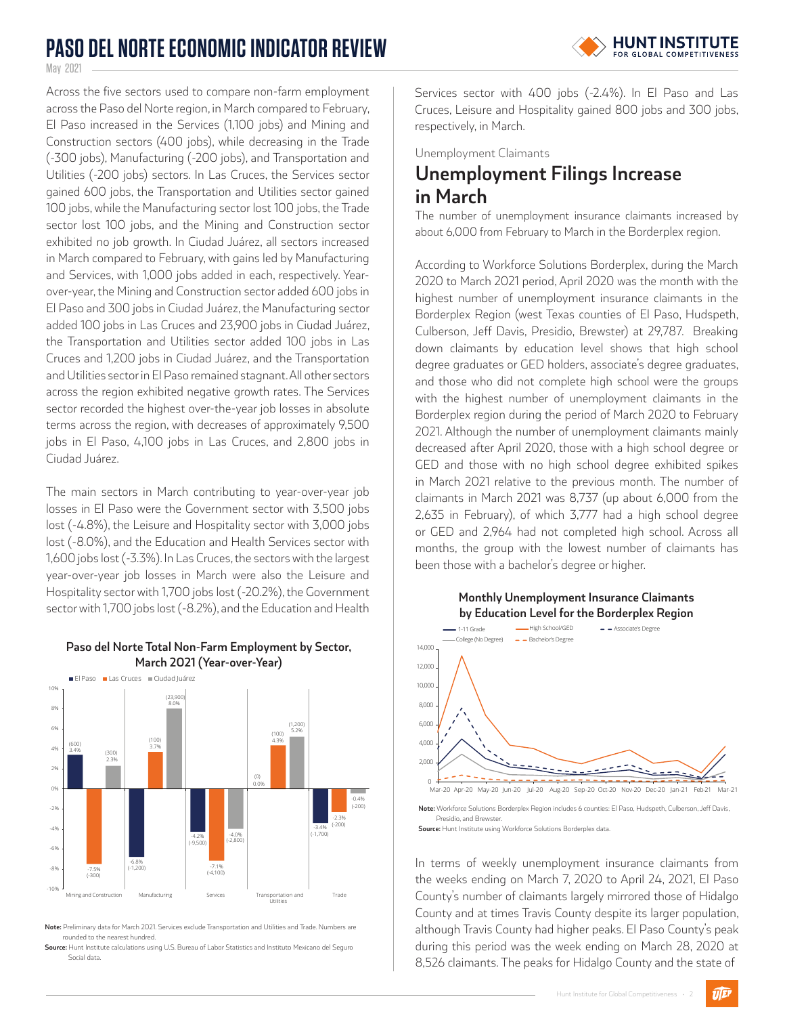# **PASO DEL NORTE ECONOMIC INDICATOR REVIEW**



May 2021

Across the five sectors used to compare non-farm employment across the Paso del Norte region, in March compared to February, El Paso increased in the Services (1,100 jobs) and Mining and Construction sectors (400 jobs), while decreasing in the Trade (-300 jobs), Manufacturing (-200 jobs), and Transportation and Utilities (-200 jobs) sectors. In Las Cruces, the Services sector gained 600 jobs, the Transportation and Utilities sector gained 100 jobs, while the Manufacturing sector lost 100 jobs, the Trade sector lost 100 jobs, and the Mining and Construction sector exhibited no job growth. In Ciudad Juárez, all sectors increased in March compared to February, with gains led by Manufacturing and Services, with 1,000 jobs added in each, respectively. Yearover-year, the Mining and Construction sector added 600 jobs in El Paso and 300 jobs in Ciudad Juárez, the Manufacturing sector added 100 jobs in Las Cruces and 23,900 jobs in Ciudad Juárez, the Transportation and Utilities sector added 100 jobs in Las Cruces and 1,200 jobs in Ciudad Juárez, and the Transportation and Utilities sector in El Paso remained stagnant. All other sectors across the region exhibited negative growth rates. The Services sector recorded the highest over-the-year job losses in absolute terms across the region, with decreases of approximately 9,500 jobs in El Paso, 4,100 jobs in Las Cruces, and 2,800 jobs in Ciudad Juárez.

The main sectors in March contributing to year-over-year job losses in El Paso were the Government sector with 3,500 jobs lost (-4.8%), the Leisure and Hospitality sector with 3,000 jobs lost (-8.0%), and the Education and Health Services sector with 1,600 jobs lost (-3.3%). In Las Cruces, the sectors with the largest year-over-year job losses in March were also the Leisure and Hospitality sector with 1,700 jobs lost (-20.2%), the Government sector with 1,700 jobs lost (-8.2%), and the Education and Health



**Paso del Norte Total Non-Farm Employment by Sector, March 2021 (Year-over-Year)**

**Note:** Preliminary data for March 2021. Services exclude Transportation and Utilities and Trade. Numbers are rounded to the nearest hundred

**Source:** Hunt Institute calculations using U.S. Bureau of Labor Statistics and Instituto Mexicano del Seguro Social data

Services sector with 400 jobs (-2.4%). In El Paso and Las Cruces, Leisure and Hospitality gained 800 jobs and 300 jobs, respectively, in March.

Unemployment Claimants

# **Unemployment Filings Increase in March**

The number of unemployment insurance claimants increased by about 6,000 from February to March in the Borderplex region.

According to Workforce Solutions Borderplex, during the March 2020 to March 2021 period, April 2020 was the month with the highest number of unemployment insurance claimants in the Borderplex Region (west Texas counties of El Paso, Hudspeth, Culberson, Jeff Davis, Presidio, Brewster) at 29,787. Breaking down claimants by education level shows that high school degree graduates or GED holders, associate's degree graduates, and those who did not complete high school were the groups with the highest number of unemployment claimants in the Borderplex region during the period of March 2020 to February 2021. Although the number of unemployment claimants mainly decreased after April 2020, those with a high school degree or GED and those with no high school degree exhibited spikes in March 2021 relative to the previous month. The number of claimants in March 2021 was 8,737 (up about 6,000 from the 2,635 in February), of which 3,777 had a high school degree or GED and 2,964 had not completed high school. Across all months, the group with the lowest number of claimants has been those with a bachelor's degree or higher.



**Note:** Workforce Solutions Borderplex Region includes 6 counties: El Paso, Hudspeth, Culberson, Jeff Davis, Presidio, and Brewster. **Source:** Hunt Institute using Workforce Solutions Borderplex data

In terms of weekly unemployment insurance claimants from the weeks ending on March 7, 2020 to April 24, 2021, El Paso County's number of claimants largely mirrored those of Hidalgo County and at times Travis County despite its larger population, although Travis County had higher peaks. El Paso County's peak during this period was the week ending on March 28, 2020 at 8,526 claimants. The peaks for Hidalgo County and the state of